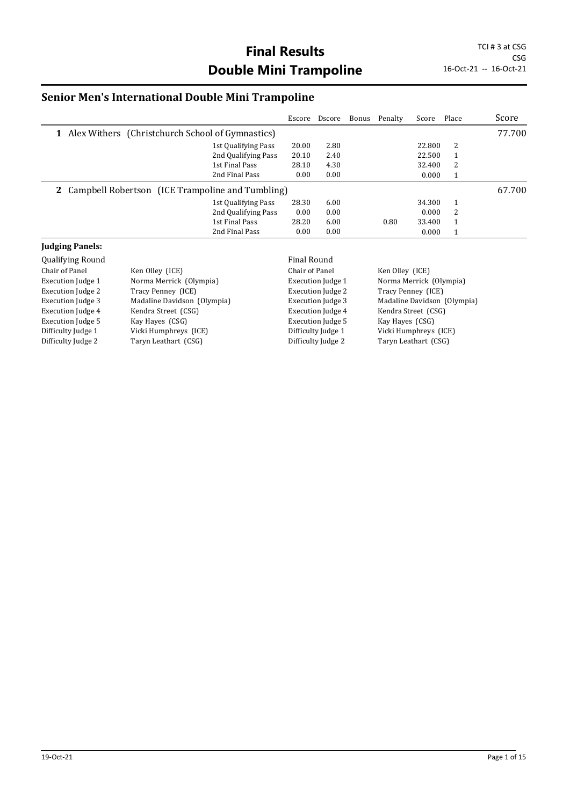## **Senior Men's International Double Mini Trampoline**

|                                                           |                     | Escore | Dscore | Bonus Penalty | Score  | Place        | Score  |
|-----------------------------------------------------------|---------------------|--------|--------|---------------|--------|--------------|--------|
| 1 Alex Withers (Christchurch School of Gymnastics)        |                     |        |        |               |        |              | 77.700 |
|                                                           | 1st Qualifying Pass | 20.00  | 2.80   |               | 22.800 | 2            |        |
|                                                           | 2nd Qualifying Pass | 20.10  | 2.40   |               | 22.500 | -1           |        |
|                                                           | 1st Final Pass      | 28.10  | 4.30   |               | 32.400 | 2            |        |
|                                                           | 2nd Final Pass      | 0.00   | 0.00   |               | 0.000  |              |        |
| <b>2</b> Campbell Robertson (ICE Trampoline and Tumbling) |                     |        |        |               |        |              | 67.700 |
|                                                           | 1st Qualifying Pass | 28.30  | 6.00   |               | 34.300 | $\mathbf{1}$ |        |
|                                                           | 2nd Qualifying Pass | 0.00   | 0.00   |               | 0.000  | 2            |        |
|                                                           | 1st Final Pass      | 28.20  | 6.00   | 0.80          | 33.400 | $\mathbf{1}$ |        |
|                                                           | 2nd Final Pass      | 0.00   | 0.00   |               | 0.000  |              |        |

#### **Judging Panels:**

| <b>Qualifying Round</b>  |                             | Final Round              |                             |
|--------------------------|-----------------------------|--------------------------|-----------------------------|
| Chair of Panel           | Ken Olley (ICE)             | Chair of Panel           | Ken Olley (ICE)             |
| <b>Execution Judge 1</b> | Norma Merrick (Olympia)     | Execution Judge 1        | Norma Merrick (Olympia)     |
| <b>Execution Judge 2</b> | Tracy Penney (ICE)          | <b>Execution Judge 2</b> | Tracy Penney (ICE)          |
| <b>Execution Judge 3</b> | Madaline Davidson (Olympia) | <b>Execution Judge 3</b> | Madaline Davidson (Olympia) |
| <b>Execution Judge 4</b> | Kendra Street (CSG)         | <b>Execution Judge 4</b> | Kendra Street (CSG)         |
| Execution Judge 5        | Kay Hayes (CSG)             | <b>Execution Judge 5</b> | Kay Hayes (CSG)             |
| Difficulty Judge 1       | Vicki Humphreys (ICE)       | Difficulty Judge 1       | Vicki Humphreys (ICE)       |
| Difficulty Judge 2       | Taryn Leathart (CSG)        | Difficulty Judge 2       | Taryn Leathart (CSG)        |
|                          |                             |                          |                             |
|                          |                             |                          |                             |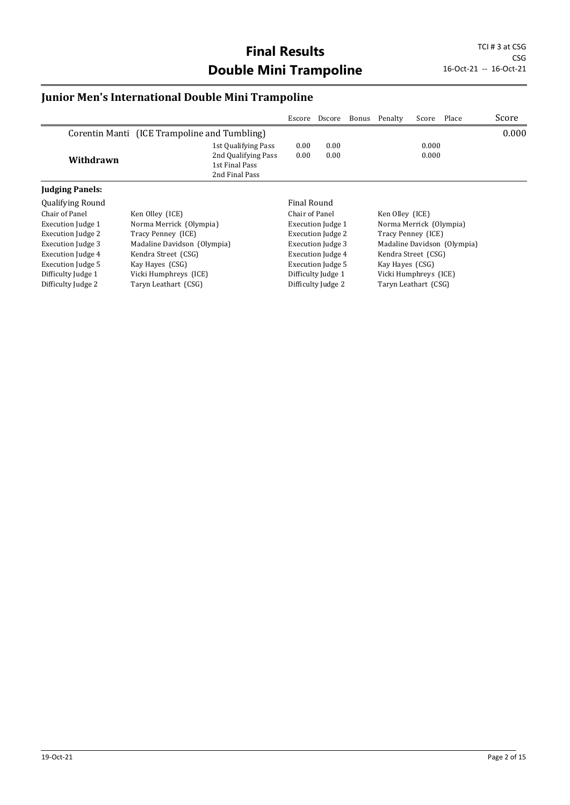## **Junior Men's International Double Mini Trampoline**

|                         |                                                                                | Escore         | Dscore                   |  | Bonus Penalty         | Score                   | Place                       | Score |  |
|-------------------------|--------------------------------------------------------------------------------|----------------|--------------------------|--|-----------------------|-------------------------|-----------------------------|-------|--|
|                         | Corentin Manti (ICE Trampoline and Tumbling)                                   |                |                          |  |                       |                         |                             | 0.000 |  |
| Withdrawn               | 1st Qualifying Pass<br>2nd Qualifying Pass<br>1st Final Pass<br>2nd Final Pass | 0.00<br>0.00   | 0.00<br>0.00             |  |                       | 0.000<br>0.000          |                             |       |  |
| <b>Judging Panels:</b>  |                                                                                |                |                          |  |                       |                         |                             |       |  |
| <b>Qualifying Round</b> |                                                                                | Final Round    |                          |  |                       |                         |                             |       |  |
| Chair of Panel          | Ken Olley (ICE)                                                                | Chair of Panel |                          |  | Ken Olley (ICE)       |                         |                             |       |  |
| Execution Judge 1       | Norma Merrick (Olympia)                                                        |                | <b>Execution Judge 1</b> |  |                       | Norma Merrick (Olympia) |                             |       |  |
| Execution Judge 2       | Tracy Penney (ICE)                                                             |                | <b>Execution Judge 2</b> |  | Tracy Penney (ICE)    |                         |                             |       |  |
| Execution Judge 3       | Madaline Davidson (Olympia)                                                    |                | Execution Judge 3        |  |                       |                         | Madaline Davidson (Olympia) |       |  |
| Execution Judge 4       | Kendra Street (CSG)                                                            |                | Execution Judge 4        |  | Kendra Street (CSG)   |                         |                             |       |  |
| Execution Judge 5       | Kay Hayes (CSG)                                                                |                | <b>Execution Judge 5</b> |  | Kay Hayes (CSG)       |                         |                             |       |  |
| Difficulty Judge 1      | Vicki Humphreys (ICE)                                                          |                | Difficulty Judge 1       |  | Vicki Humphreys (ICE) |                         |                             |       |  |
| Difficulty Judge 2      | Taryn Leathart (CSG)                                                           |                | Difficulty Judge 2       |  | Taryn Leathart (CSG)  |                         |                             |       |  |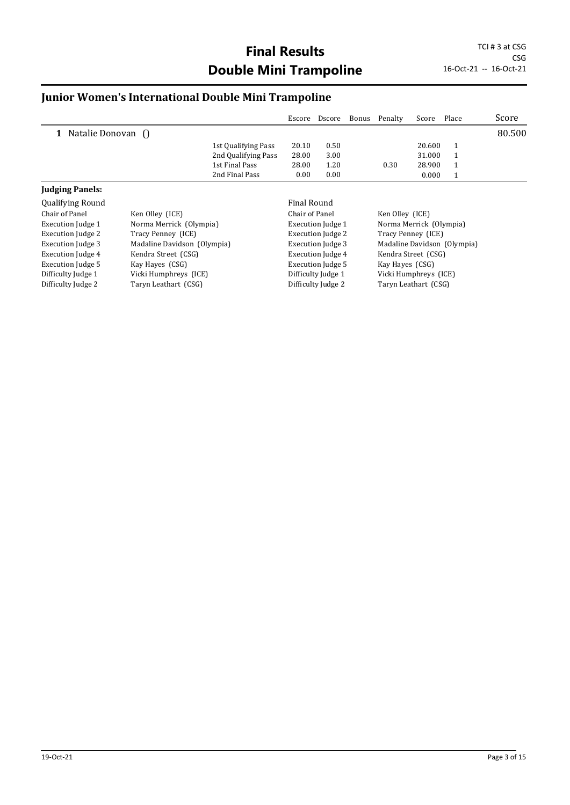#### **Junior Women's International Double Mini Trampoline**

Difficulty Judge 2 Taryn Leathart (CSG)

|                          |                             |                     | Escore                   | Dscore                   | Bonus | Penalty                 | Score  | Place                       | Score  |
|--------------------------|-----------------------------|---------------------|--------------------------|--------------------------|-------|-------------------------|--------|-----------------------------|--------|
| Natalie Donovan ()<br>1  |                             |                     |                          |                          |       |                         |        |                             | 80.500 |
|                          |                             | 1st Qualifying Pass | 20.10                    | 0.50                     |       |                         | 20.600 | $\mathbf{1}$                |        |
|                          |                             | 2nd Qualifying Pass | 28.00                    | 3.00                     |       |                         | 31.000 | 1                           |        |
|                          |                             | 1st Final Pass      | 28.00                    | 1.20                     |       | 0.30                    | 28.900 |                             |        |
|                          |                             | 2nd Final Pass      | 0.00                     | 0.00                     |       |                         | 0.000  | $\mathbf{1}$                |        |
| <b>Judging Panels:</b>   |                             |                     |                          |                          |       |                         |        |                             |        |
| Qualifying Round         |                             |                     | Final Round              |                          |       |                         |        |                             |        |
| Chair of Panel           | Ken Olley (ICE)             |                     | Chair of Panel           |                          |       | Ken Olley (ICE)         |        |                             |        |
| <b>Execution Judge 1</b> | Norma Merrick (Olympia)     |                     | <b>Execution Judge 1</b> |                          |       | Norma Merrick (Olympia) |        |                             |        |
| Execution Judge 2        | Tracy Penney (ICE)          |                     |                          | <b>Execution Judge 2</b> |       | Tracy Penney (ICE)      |        |                             |        |
| <b>Execution Judge 3</b> | Madaline Davidson (Olympia) |                     |                          | <b>Execution Judge 3</b> |       |                         |        | Madaline Davidson (Olympia) |        |
| Execution Judge 4        | Kendra Street (CSG)         |                     |                          | <b>Execution Judge 4</b> |       | Kendra Street (CSG)     |        |                             |        |
| Execution Judge 5        | Kay Hayes (CSG)             |                     |                          | <b>Execution Judge 5</b> |       | Kay Hayes (CSG)         |        |                             |        |
| Difficulty Judge 1       | Vicki Humphreys (ICE)       |                     |                          | Difficulty Judge 1       |       | Vicki Humphreys (ICE)   |        |                             |        |

Difficulty Judge 1 Vicki Humphreys (ICE)<br>Difficulty Judge 2 Taryn Leathart (CSG)

Taryn Leathart (CSG)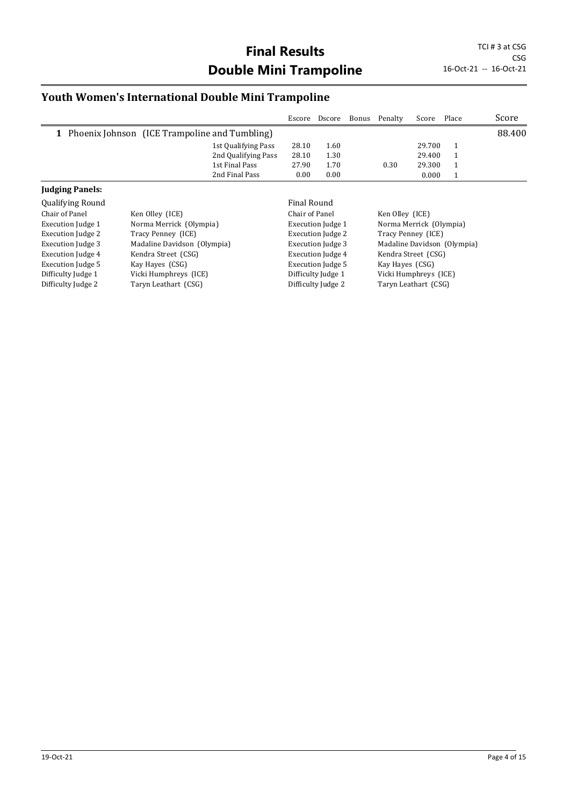#### **Youth Women's International Double Mini Trampoline**

Execution Judge 5 Kay Hayes (CSG) Difficulty Judge 1 Vicki Humphreys (ICE) Difficulty Judge 2 Taryn Leathart (CSG)

|                         |                                                 |                     | Escore         | Dscore                   | Bonus | Penalty         | Score                   | Place                       | Score  |
|-------------------------|-------------------------------------------------|---------------------|----------------|--------------------------|-------|-----------------|-------------------------|-----------------------------|--------|
|                         | 1 Phoenix Johnson (ICE Trampoline and Tumbling) |                     |                |                          |       |                 |                         |                             | 88.400 |
|                         |                                                 | 1st Qualifying Pass | 28.10          | 1.60                     |       |                 | 29.700                  | 1                           |        |
|                         |                                                 | 2nd Qualifying Pass | 28.10          | 1.30                     |       |                 | 29.400                  |                             |        |
|                         |                                                 | 1st Final Pass      | 27.90          | 1.70                     |       | 0.30            | 29.300                  |                             |        |
|                         |                                                 | 2nd Final Pass      | 0.00           | 0.00                     |       |                 | 0.000                   | 1                           |        |
| <b>Judging Panels:</b>  |                                                 |                     |                |                          |       |                 |                         |                             |        |
| <b>Qualifying Round</b> |                                                 |                     | Final Round    |                          |       |                 |                         |                             |        |
| Chair of Panel          | Ken Olley (ICE)                                 |                     | Chair of Panel |                          |       | Ken Olley (ICE) |                         |                             |        |
| Execution Judge 1       | Norma Merrick (Olympia)                         |                     |                | <b>Execution Judge 1</b> |       |                 | Norma Merrick (Olympia) |                             |        |
| Execution Judge 2       | Tracy Penney (ICE)                              |                     |                | <b>Execution Judge 2</b> |       |                 | Tracy Penney (ICE)      |                             |        |
| Execution Judge 3       | Madaline Davidson (Olympia)                     |                     |                | <b>Execution Judge 3</b> |       |                 |                         | Madaline Davidson (Olympia) |        |
| Execution Judge 4       | Kendra Street (CSG)                             |                     |                | <b>Execution Judge 4</b> |       |                 | Kendra Street (CSG)     |                             |        |

Execution Judge 5 Kay Hayes (CSG) Difficulty Judge 1 Vicki Humphreys (ICE)<br>Difficulty Judge 2 Taryn Leathart (CSG)

Taryn Leathart (CSG)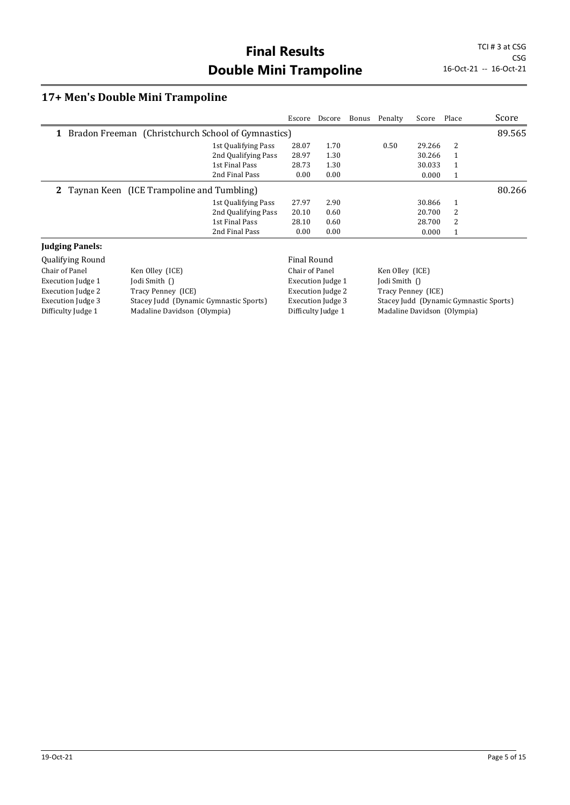## **17+ Men's Double Mini Trampoline**

|                          |                                                      |                     | Escore                   | Dscore                   | Bonus | Penalty                                | Score              | Place                       | Score  |
|--------------------------|------------------------------------------------------|---------------------|--------------------------|--------------------------|-------|----------------------------------------|--------------------|-----------------------------|--------|
|                          | 1 Bradon Freeman (Christchurch School of Gymnastics) |                     |                          |                          |       |                                        |                    |                             | 89.565 |
|                          |                                                      | 1st Qualifying Pass | 28.07                    | 1.70                     |       | 0.50                                   | 29.266             | 2                           |        |
|                          |                                                      | 2nd Qualifying Pass | 28.97                    | 1.30                     |       |                                        | 30.266             | 1                           |        |
|                          |                                                      | 1st Final Pass      | 28.73                    | 1.30                     |       |                                        | 30.033             | 1                           |        |
|                          |                                                      | 2nd Final Pass      | 0.00                     | 0.00                     |       |                                        | 0.000              | $\mathbf{1}$                |        |
|                          | 2 Taynan Keen (ICE Trampoline and Tumbling)          |                     |                          |                          |       |                                        |                    |                             | 80.266 |
|                          |                                                      | 1st Qualifying Pass | 27.97                    | 2.90                     |       |                                        | 30.866             | $\mathbf{1}$                |        |
|                          |                                                      | 2nd Qualifying Pass | 20.10                    | 0.60                     |       |                                        | 20.700             | 2                           |        |
|                          |                                                      | 1st Final Pass      | 28.10                    | 0.60                     |       |                                        | 28.700             | 2                           |        |
|                          |                                                      | 2nd Final Pass      | 0.00                     | 0.00                     |       |                                        | 0.000              | $\mathbf{1}$                |        |
| <b>Judging Panels:</b>   |                                                      |                     |                          |                          |       |                                        |                    |                             |        |
| Qualifying Round         |                                                      |                     | <b>Final Round</b>       |                          |       |                                        |                    |                             |        |
| Chair of Panel           | Ken Olley (ICE)                                      |                     | Chair of Panel           |                          |       | Ken Olley (ICE)                        |                    |                             |        |
| Execution Judge 1        | Jodi Smith $\bigcap$                                 |                     |                          | Execution Judge 1        |       | Jodi Smith ()                          |                    |                             |        |
| <b>Execution Judge 2</b> | Tracy Penney (ICE)                                   |                     |                          | <b>Execution Judge 2</b> |       |                                        | Tracy Penney (ICE) |                             |        |
| <b>Execution Judge 3</b> | Stacey Judd (Dynamic Gymnastic Sports)               |                     | <b>Execution Judge 3</b> |                          |       | Stacey Judd (Dynamic Gymnastic Sports) |                    |                             |        |
| Difficulty Judge 1       | Madaline Davidson (Olympia)                          |                     |                          | Difficulty Judge 1       |       |                                        |                    | Madaline Davidson (Olympia) |        |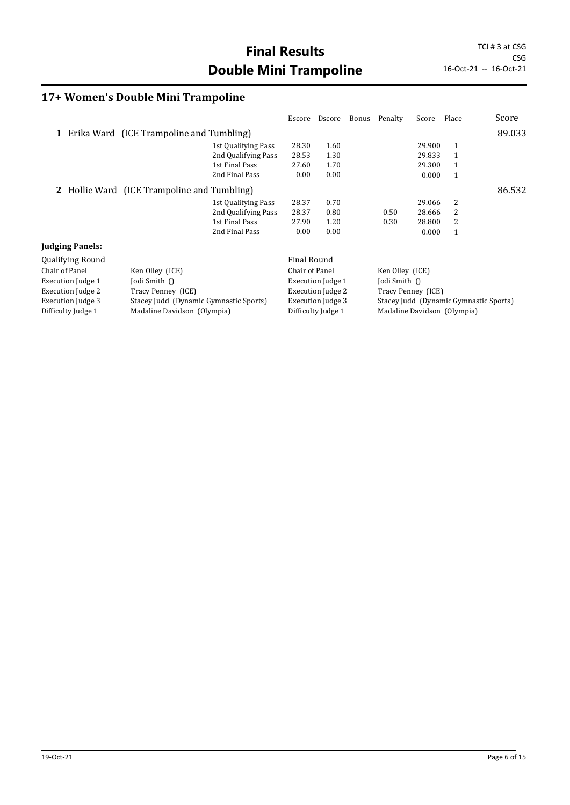## **17+ Women's Double Mini Trampoline**

|                          |                                             |                     |                    | Escore Dscore            |  | Bonus Penalty               | Score              | Place        | Score                                  |
|--------------------------|---------------------------------------------|---------------------|--------------------|--------------------------|--|-----------------------------|--------------------|--------------|----------------------------------------|
|                          | 1 Erika Ward (ICE Trampoline and Tumbling)  |                     |                    |                          |  |                             |                    |              | 89.033                                 |
|                          |                                             | 1st Qualifying Pass | 28.30              | 1.60                     |  |                             | 29.900             | 1            |                                        |
|                          |                                             | 2nd Qualifying Pass | 28.53              | 1.30                     |  |                             | 29.833             | 1            |                                        |
|                          |                                             | 1st Final Pass      | 27.60              | 1.70                     |  |                             | 29.300             | 1            |                                        |
|                          |                                             | 2nd Final Pass      | 0.00               | 0.00                     |  |                             | 0.000              | $\mathbf{1}$ |                                        |
|                          | 2 Hollie Ward (ICE Trampoline and Tumbling) |                     |                    |                          |  |                             |                    |              | 86.532                                 |
|                          |                                             | 1st Qualifying Pass | 28.37              | 0.70                     |  |                             | 29.066             | 2            |                                        |
|                          |                                             | 2nd Qualifying Pass | 28.37              | 0.80                     |  | 0.50                        | 28.666             | 2            |                                        |
|                          |                                             | 1st Final Pass      | 27.90              | 1.20                     |  | 0.30                        | 28.800             | 2            |                                        |
|                          |                                             | 2nd Final Pass      | 0.00               | 0.00                     |  |                             | 0.000              | $\mathbf{1}$ |                                        |
| <b>Judging Panels:</b>   |                                             |                     |                    |                          |  |                             |                    |              |                                        |
| Qualifying Round         |                                             |                     | <b>Final Round</b> |                          |  |                             |                    |              |                                        |
| Chair of Panel           | Ken Olley (ICE)                             |                     | Chair of Panel     |                          |  | Ken Olley (ICE)             |                    |              |                                        |
| <b>Execution Judge 1</b> | Jodi Smith $\bigcap$                        |                     |                    | Execution Judge 1        |  | Jodi Smith ()               |                    |              |                                        |
| <b>Execution Judge 2</b> | Tracy Penney (ICE)                          |                     |                    | <b>Execution Judge 2</b> |  |                             | Tracy Penney (ICE) |              |                                        |
| <b>Execution Judge 3</b> | Stacey Judd (Dynamic Gymnastic Sports)      |                     |                    | <b>Execution Judge 3</b> |  |                             |                    |              | Stacey Judd (Dynamic Gymnastic Sports) |
| Difficulty Judge 1       | Madaline Davidson (Olympia)                 |                     | Difficulty Judge 1 |                          |  | Madaline Davidson (Olympia) |                    |              |                                        |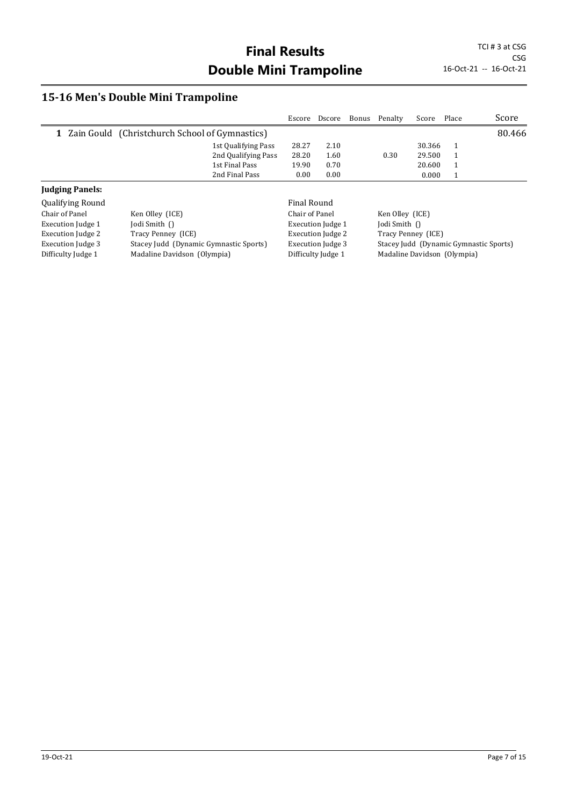## **15-16 Men's Double Mini Trampoline**

|                          |                                                |                     | Escore         | Dscore                   | Bonus | Penalty              | Score  | Place                       | Score                                  |
|--------------------------|------------------------------------------------|---------------------|----------------|--------------------------|-------|----------------------|--------|-----------------------------|----------------------------------------|
| $\mathbf{1}$             | Zain Gould (Christchurch School of Gymnastics) |                     |                |                          |       |                      |        |                             | 80.466                                 |
|                          |                                                | 1st Qualifying Pass | 28.27          | 2.10                     |       |                      | 30.366 | 1                           |                                        |
|                          |                                                | 2nd Qualifying Pass | 28.20          | 1.60                     |       | 0.30                 | 29.500 | 1                           |                                        |
|                          |                                                | 1st Final Pass      | 19.90          | 0.70                     |       |                      | 20.600 | $\mathbf{1}$                |                                        |
|                          |                                                | 2nd Final Pass      | 0.00           | 0.00                     |       |                      | 0.000  | 1                           |                                        |
| <b>Judging Panels:</b>   |                                                |                     |                |                          |       |                      |        |                             |                                        |
| <b>Qualifying Round</b>  |                                                |                     | Final Round    |                          |       |                      |        |                             |                                        |
| Chair of Panel           | Ken Olley (ICE)                                |                     | Chair of Panel |                          |       | Ken Olley (ICE)      |        |                             |                                        |
| <b>Execution Judge 1</b> | Jodi Smith $\bigcap$                           |                     |                | <b>Execution Judge 1</b> |       | Jodi Smith $\bigcap$ |        |                             |                                        |
| Execution Judge 2        | Tracy Penney (ICE)                             |                     |                | <b>Execution Judge 2</b> |       | Tracy Penney (ICE)   |        |                             |                                        |
| Execution Judge 3        | Stacey Judd (Dynamic Gymnastic Sports)         |                     |                | Execution Judge 3        |       |                      |        |                             | Stacey Judd (Dynamic Gymnastic Sports) |
| Difficulty Judge 1       | Madaline Davidson (Olympia)                    |                     |                | Difficulty Judge 1       |       |                      |        | Madaline Davidson (Olympia) |                                        |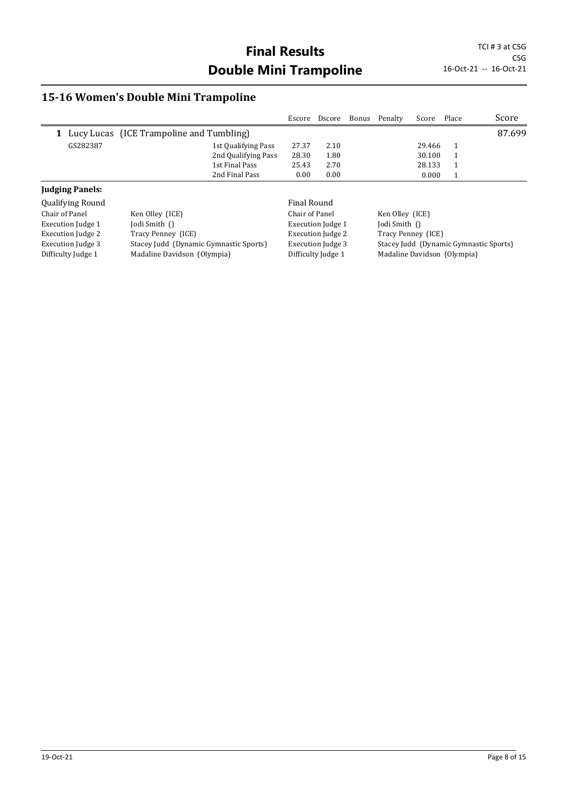## **15-16 Women's Double Mini Trampoline**

|                          |                                            |                     | Escore         | Dscore                   | Bonus Penalty               | Score  | Place | Score                                  |
|--------------------------|--------------------------------------------|---------------------|----------------|--------------------------|-----------------------------|--------|-------|----------------------------------------|
|                          | 1 Lucy Lucas (ICE Trampoline and Tumbling) |                     |                |                          |                             |        |       | 87.699                                 |
| GS282387                 |                                            | 1st Qualifying Pass | 27.37          | 2.10                     |                             | 29.466 |       |                                        |
|                          |                                            | 2nd Qualifying Pass | 28.30          | 1.80                     |                             | 30.100 | 1     |                                        |
|                          |                                            | 1st Final Pass      | 25.43          | 2.70                     |                             | 28.133 | 1     |                                        |
|                          |                                            | 2nd Final Pass      | 0.00           | 0.00                     |                             | 0.000  | 1     |                                        |
| <b>Judging Panels:</b>   |                                            |                     |                |                          |                             |        |       |                                        |
| <b>Qualifying Round</b>  |                                            |                     | Final Round    |                          |                             |        |       |                                        |
| Chair of Panel           | Ken Olley (ICE)                            |                     | Chair of Panel |                          | Ken Olley (ICE)             |        |       |                                        |
| <b>Execution Judge 1</b> | Jodi Smith ()                              |                     |                | <b>Execution Judge 1</b> | Jodi Smith ()               |        |       |                                        |
| Execution Judge 2        | Tracy Penney (ICE)                         |                     |                | <b>Execution Judge 2</b> | Tracy Penney (ICE)          |        |       |                                        |
| <b>Execution Judge 3</b> | Stacey Judd (Dynamic Gymnastic Sports)     |                     |                | <b>Execution Judge 3</b> |                             |        |       | Stacey Judd (Dynamic Gymnastic Sports) |
| Difficulty Judge 1       | Madaline Davidson (Olympia)                |                     |                | Difficulty Judge 1       | Madaline Davidson (Olympia) |        |       |                                        |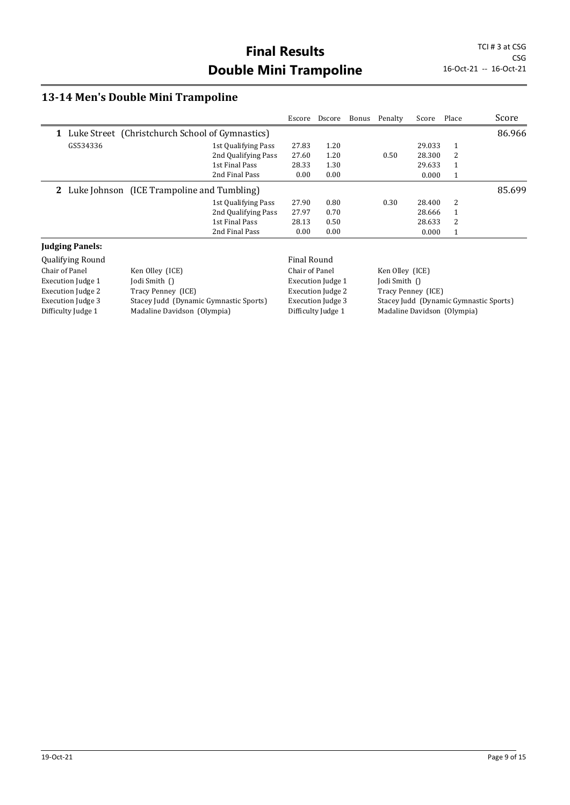## **13-14 Men's Double Mini Trampoline**

|                          |                                                   |                     | Escore         | Dscore                   | Bonus | Penalty         | Score              | Place                       | Score                                  |
|--------------------------|---------------------------------------------------|---------------------|----------------|--------------------------|-------|-----------------|--------------------|-----------------------------|----------------------------------------|
|                          | 1 Luke Street (Christchurch School of Gymnastics) |                     |                |                          |       |                 |                    |                             | 86.966                                 |
| GS534336                 |                                                   | 1st Qualifying Pass | 27.83          | 1.20                     |       |                 | 29.033             | 1                           |                                        |
|                          |                                                   | 2nd Qualifying Pass | 27.60          | 1.20                     |       | 0.50            | 28.300             | 2                           |                                        |
|                          |                                                   | 1st Final Pass      | 28.33          | 1.30                     |       |                 | 29.633             | 1                           |                                        |
|                          |                                                   | 2nd Final Pass      | 0.00           | 0.00                     |       |                 | 0.000              | $\mathbf{1}$                |                                        |
|                          | 2 Luke Johnson (ICE Trampoline and Tumbling)      |                     |                |                          |       |                 |                    |                             | 85.699                                 |
|                          |                                                   | 1st Qualifying Pass | 27.90          | 0.80                     |       | 0.30            | 28.400             | 2                           |                                        |
|                          |                                                   | 2nd Qualifying Pass | 27.97          | 0.70                     |       |                 | 28.666             | 1                           |                                        |
|                          |                                                   | 1st Final Pass      | 28.13          | 0.50                     |       |                 | 28.633             | 2                           |                                        |
|                          |                                                   | 2nd Final Pass      | 0.00           | 0.00                     |       |                 | 0.000              | $\mathbf{1}$                |                                        |
| <b>Judging Panels:</b>   |                                                   |                     |                |                          |       |                 |                    |                             |                                        |
| Qualifying Round         |                                                   |                     | Final Round    |                          |       |                 |                    |                             |                                        |
| Chair of Panel           | Ken Olley (ICE)                                   |                     | Chair of Panel |                          |       | Ken Olley (ICE) |                    |                             |                                        |
| <b>Execution Judge 1</b> | Jodi Smith $\bigcap$                              |                     |                | Execution Judge 1        |       | Jodi Smith ()   |                    |                             |                                        |
| <b>Execution Judge 2</b> | Tracy Penney (ICE)                                |                     |                | <b>Execution Judge 2</b> |       |                 | Tracy Penney (ICE) |                             |                                        |
| <b>Execution Judge 3</b> | Stacey Judd (Dynamic Gymnastic Sports)            |                     |                | <b>Execution Judge 3</b> |       |                 |                    |                             | Stacey Judd (Dynamic Gymnastic Sports) |
| Difficulty Judge 1       | Madaline Davidson (Olympia)                       |                     |                | Difficulty Judge 1       |       |                 |                    | Madaline Davidson (Olympia) |                                        |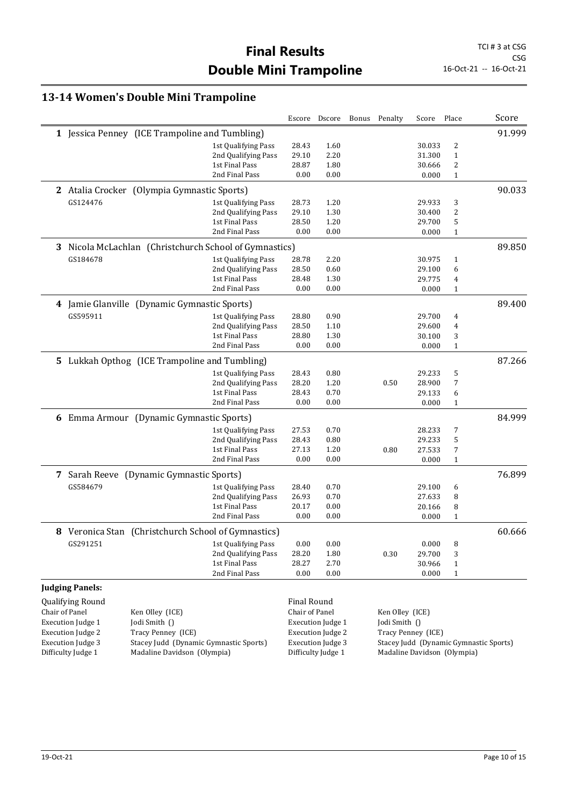#### **13-14 Women's Double Mini Trampoline**

|                                                                    |                          |                                                        |                          |                | Escore Dscore            | Bonus                                  | Penalty         | Score              | Place        | Score  |
|--------------------------------------------------------------------|--------------------------|--------------------------------------------------------|--------------------------|----------------|--------------------------|----------------------------------------|-----------------|--------------------|--------------|--------|
|                                                                    |                          | 1 Jessica Penney (ICE Trampoline and Tumbling)         |                          |                |                          |                                        |                 |                    |              | 91.999 |
|                                                                    |                          |                                                        | 1st Qualifying Pass      | 28.43          | 1.60                     |                                        |                 | 30.033             | 2            |        |
|                                                                    |                          |                                                        | 2nd Qualifying Pass      | 29.10          | 2.20                     |                                        |                 | 31.300             | $\mathbf{1}$ |        |
|                                                                    |                          |                                                        | 1st Final Pass           | 28.87          | 1.80                     |                                        |                 | 30.666             | 2            |        |
|                                                                    |                          |                                                        | 2nd Final Pass           | 0.00           | 0.00                     |                                        |                 | 0.000              | $\mathbf{1}$ |        |
|                                                                    |                          | 2 Atalia Crocker (Olympia Gymnastic Sports)            |                          |                |                          |                                        |                 |                    |              | 90.033 |
|                                                                    | GS124476                 |                                                        | 1st Qualifying Pass      | 28.73          | 1.20                     |                                        |                 | 29.933             | 3            |        |
|                                                                    |                          |                                                        | 2nd Qualifying Pass      | 29.10          | 1.30                     |                                        |                 | 30.400             | 2            |        |
|                                                                    |                          |                                                        | 1st Final Pass           | 28.50          | 1.20                     |                                        |                 | 29.700             | 5            |        |
|                                                                    |                          |                                                        | 2nd Final Pass           | 0.00           | 0.00                     |                                        |                 | 0.000              | $\mathbf{1}$ |        |
|                                                                    |                          | 3 Nicola McLachlan (Christchurch School of Gymnastics) |                          |                |                          |                                        |                 |                    |              | 89.850 |
|                                                                    | GS184678                 |                                                        | 1st Qualifying Pass      | 28.78          | 2.20                     |                                        |                 | 30.975             | $\mathbf{1}$ |        |
|                                                                    |                          |                                                        | 2nd Qualifying Pass      | 28.50          | 0.60                     |                                        |                 | 29.100             | 6            |        |
|                                                                    |                          |                                                        | 1st Final Pass           | 28.48          | 1.30                     |                                        |                 | 29.775             | 4            |        |
|                                                                    |                          |                                                        | 2nd Final Pass           | 0.00           | 0.00                     |                                        |                 | 0.000              | $\mathbf{1}$ |        |
| 4                                                                  |                          | Jamie Glanville (Dynamic Gymnastic Sports)             |                          |                |                          |                                        |                 |                    |              | 89.400 |
|                                                                    | GS595911                 |                                                        | 1st Qualifying Pass      | 28.80          | 0.90                     |                                        |                 | 29.700             | 4            |        |
|                                                                    |                          |                                                        | 2nd Qualifying Pass      | 28.50          | 1.10                     |                                        |                 | 29.600             | 4            |        |
|                                                                    |                          |                                                        | 1st Final Pass           | 28.80          | 1.30                     |                                        |                 | 30.100             | 3            |        |
|                                                                    |                          |                                                        | 2nd Final Pass           | 0.00           | 0.00                     |                                        |                 | 0.000              | $\mathbf{1}$ |        |
|                                                                    |                          | 5 Lukkah Opthog (ICE Trampoline and Tumbling)          |                          |                |                          |                                        |                 |                    |              | 87.266 |
|                                                                    |                          |                                                        | 1st Qualifying Pass      | 28.43          | 0.80                     |                                        |                 | 29.233             | 5            |        |
|                                                                    |                          |                                                        | 2nd Qualifying Pass      | 28.20          | 1.20                     |                                        | 0.50            | 28.900             | 7            |        |
|                                                                    |                          |                                                        | 1st Final Pass           | 28.43          | 0.70                     |                                        |                 | 29.133             | 6            |        |
|                                                                    |                          |                                                        | 2nd Final Pass           | 0.00           | 0.00                     |                                        |                 | 0.000              | $\mathbf{1}$ |        |
|                                                                    |                          | 6 Emma Armour (Dynamic Gymnastic Sports)               |                          |                |                          |                                        |                 |                    |              | 84.999 |
|                                                                    |                          |                                                        | 1st Qualifying Pass      | 27.53          | 0.70                     |                                        |                 | 28.233             | 7            |        |
|                                                                    |                          |                                                        | 2nd Qualifying Pass      | 28.43          | 0.80                     |                                        |                 | 29.233             | 5            |        |
|                                                                    |                          |                                                        | 1st Final Pass           | 27.13          | 1.20                     |                                        | 0.80            | 27.533             | 7            |        |
|                                                                    |                          |                                                        | 2nd Final Pass           | 0.00           | 0.00                     |                                        |                 | 0.000              | $\mathbf{1}$ |        |
| 7                                                                  |                          | Sarah Reeve (Dynamic Gymnastic Sports)                 |                          |                |                          |                                        |                 |                    |              | 76.899 |
|                                                                    | GS584679                 |                                                        | 1st Qualifying Pass      | 28.40          | 0.70                     |                                        |                 | 29.100             | 6            |        |
|                                                                    |                          |                                                        | 2nd Qualifying Pass      | 26.93          | 0.70                     |                                        |                 | 27.633             | 8            |        |
|                                                                    |                          |                                                        | 1st Final Pass           | 20.17          | 0.00                     |                                        |                 | 20.166             | 8            |        |
|                                                                    |                          |                                                        | 2nd Final Pass           | 0.00           | 0.00                     |                                        |                 | 0.000              | $\mathbf{1}$ |        |
|                                                                    |                          | 8 Veronica Stan (Christchurch School of Gymnastics)    |                          |                |                          |                                        |                 |                    |              | 60.666 |
|                                                                    | GS291251                 |                                                        | 1st Qualifying Pass      | 0.00           | 0.00                     |                                        |                 | 0.000              | 8            |        |
|                                                                    |                          |                                                        | 2nd Qualifying Pass      | 28.20          | 1.80                     |                                        | 0.30            | 29.700             | 3            |        |
|                                                                    |                          |                                                        | 1st Final Pass           | 28.27          | 2.70                     |                                        |                 | 30.966             | $\mathbf{1}$ |        |
|                                                                    |                          |                                                        | 2nd Final Pass           | 0.00           | 0.00                     |                                        |                 | 0.000              | 1            |        |
|                                                                    | <b>Judging Panels:</b>   |                                                        |                          |                |                          |                                        |                 |                    |              |        |
|                                                                    | <b>Qualifying Round</b>  |                                                        |                          | Final Round    |                          |                                        |                 |                    |              |        |
|                                                                    | Chair of Panel           | Ken Olley (ICE)                                        |                          | Chair of Panel |                          |                                        | Ken Olley (ICE) |                    |              |        |
|                                                                    | <b>Execution Judge 1</b> | Jodi Smith ()                                          |                          |                | <b>Execution Judge 1</b> |                                        | Jodi Smith ()   |                    |              |        |
|                                                                    | <b>Execution Judge 2</b> | Tracy Penney (ICE)                                     |                          |                | <b>Execution Judge 2</b> |                                        |                 | Tracy Penney (ICE) |              |        |
| <b>Execution Judge 3</b><br>Stacey Judd (Dynamic Gymnastic Sports) |                          |                                                        | <b>Execution Judge 3</b> |                |                          | Stacey Judd (Dynamic Gymnastic Sports) |                 |                    |              |        |

Difficulty Judge 1 Madaline Davidson (Olympia)

Difficulty Judge 1 Madaline Davidson (Olympia)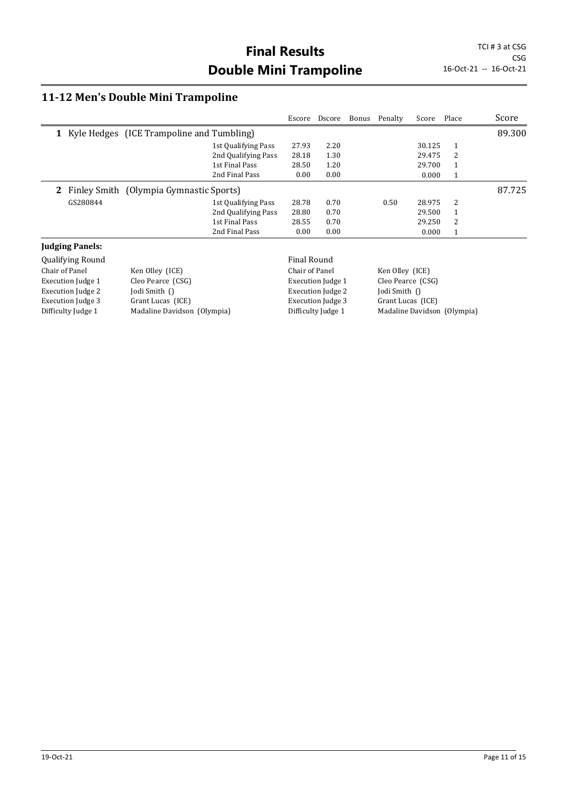#### **11-12 Men's Double Mini Trampoline**

Difficulty Judge 1 Madaline Davidson (Olympia)

|                          |                                             |                     | Escore             | Dscore                   | Bonus | Penalty           | Score  | Place        | Score  |
|--------------------------|---------------------------------------------|---------------------|--------------------|--------------------------|-------|-------------------|--------|--------------|--------|
|                          | 1 Kyle Hedges (ICE Trampoline and Tumbling) |                     |                    |                          |       |                   |        |              | 89.300 |
|                          |                                             | 1st Qualifying Pass | 27.93              | 2.20                     |       |                   | 30.125 | 1            |        |
|                          |                                             | 2nd Qualifying Pass | 28.18              | 1.30                     |       |                   | 29.475 | 2            |        |
|                          |                                             | 1st Final Pass      | 28.50              | 1.20                     |       |                   | 29.700 | 1            |        |
|                          |                                             | 2nd Final Pass      | 0.00               | 0.00                     |       |                   | 0.000  | $\mathbf{1}$ |        |
| $\mathbf{2}^-$           | Finley Smith (Olympia Gymnastic Sports)     |                     |                    |                          |       |                   |        |              | 87.725 |
| GS280844                 |                                             | 1st Qualifying Pass | 28.78              | 0.70                     |       | 0.50              | 28.975 | 2            |        |
|                          |                                             | 2nd Qualifying Pass | 28.80              | 0.70                     |       |                   | 29.500 | $\mathbf{1}$ |        |
|                          |                                             | 1st Final Pass      | 28.55              | 0.70                     |       |                   | 29.250 | 2            |        |
|                          |                                             | 2nd Final Pass      | 0.00               | 0.00                     |       |                   | 0.000  | $\mathbf{1}$ |        |
| <b>Judging Panels:</b>   |                                             |                     |                    |                          |       |                   |        |              |        |
| <b>Qualifying Round</b>  |                                             |                     | <b>Final Round</b> |                          |       |                   |        |              |        |
| Chair of Panel           | Ken Olley (ICE)                             |                     | Chair of Panel     |                          |       | Ken Olley (ICE)   |        |              |        |
| <b>Execution Judge 1</b> | Cleo Pearce (CSG)                           |                     |                    | <b>Execution Judge 1</b> |       | Cleo Pearce (CSG) |        |              |        |
| <b>Execution Judge 2</b> | Jodi Smith $\bigcap$                        |                     |                    | <b>Execution Judge 2</b> |       | Jodi Smith ()     |        |              |        |
| <b>Execution Judge 3</b> | Grant Lucas (ICE)                           |                     |                    | <b>Execution Judge 3</b> |       | Grant Lucas (ICE) |        |              |        |

Difficulty Judge 1 Madaline Davidson (Olympia)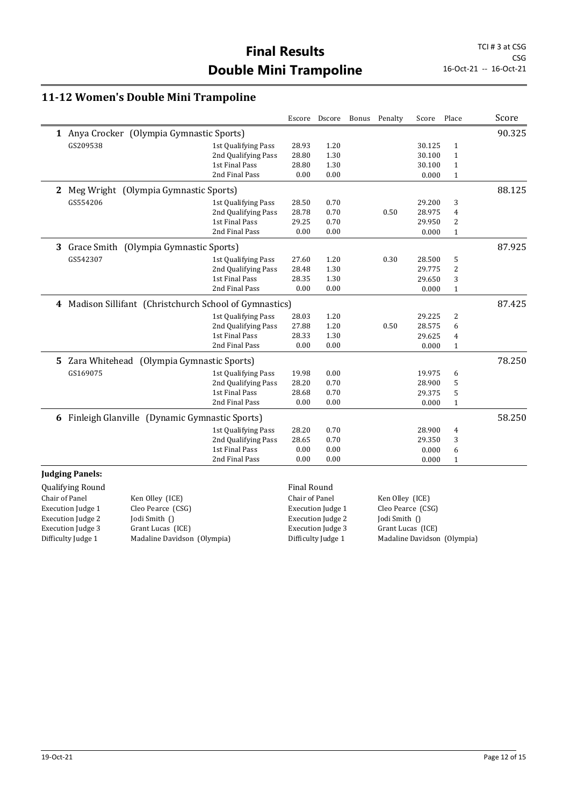#### **11-12 Women's Double Mini Trampoline**

|                                                               |                     |                | Escore Dscore                 |  | Bonus Penalty     | Score  | Place        | Score  |
|---------------------------------------------------------------|---------------------|----------------|-------------------------------|--|-------------------|--------|--------------|--------|
| 1 Anya Crocker (Olympia Gymnastic Sports)                     |                     |                |                               |  |                   |        |              | 90.325 |
| GS209538                                                      | 1st Qualifying Pass | 28.93          | 1.20                          |  |                   | 30.125 | $\mathbf{1}$ |        |
|                                                               | 2nd Qualifying Pass | 28.80          | 1.30                          |  |                   | 30.100 | 1            |        |
|                                                               | 1st Final Pass      | 28.80          | 1.30                          |  |                   | 30.100 | $\mathbf{1}$ |        |
|                                                               | 2nd Final Pass      | 0.00           | 0.00                          |  |                   | 0.000  | $\mathbf{1}$ |        |
| 2 Meg Wright (Olympia Gymnastic Sports)                       |                     |                |                               |  |                   |        |              | 88.125 |
| GS554206                                                      | 1st Qualifying Pass | 28.50          | 0.70                          |  |                   | 29.200 | 3            |        |
|                                                               | 2nd Qualifying Pass | 28.78          | 0.70                          |  | 0.50              | 28.975 | 4            |        |
|                                                               | 1st Final Pass      | 29.25          | 0.70                          |  |                   | 29.950 | 2            |        |
|                                                               | 2nd Final Pass      | 0.00           | 0.00                          |  |                   | 0.000  | $\mathbf{1}$ |        |
| Grace Smith (Olympia Gymnastic Sports)<br>3                   |                     |                |                               |  |                   |        |              | 87.925 |
| GS542307                                                      | 1st Qualifying Pass | 27.60          | 1.20                          |  | 0.30              | 28.500 | 5            |        |
|                                                               | 2nd Qualifying Pass | 28.48          | 1.30                          |  |                   | 29.775 | 2            |        |
|                                                               | 1st Final Pass      | 28.35          | 1.30                          |  |                   | 29.650 | 3            |        |
|                                                               | 2nd Final Pass      | 0.00           | 0.00                          |  |                   | 0.000  | $\mathbf{1}$ |        |
| 4 Madison Sillifant (Christchurch School of Gymnastics)       |                     |                |                               |  |                   |        |              | 87.425 |
|                                                               | 1st Qualifying Pass | 28.03          | 1.20                          |  |                   | 29.225 | 2            |        |
|                                                               | 2nd Qualifying Pass | 27.88          | 1.20                          |  | 0.50              | 28.575 | 6            |        |
|                                                               | 1st Final Pass      | 28.33          | 1.30                          |  |                   | 29.625 | 4            |        |
|                                                               | 2nd Final Pass      | 0.00           | 0.00                          |  |                   | 0.000  | $\mathbf{1}$ |        |
| 5 Zara Whitehead (Olympia Gymnastic Sports)                   |                     |                |                               |  |                   |        |              | 78.250 |
| GS169075                                                      | 1st Qualifying Pass | 19.98          | 0.00                          |  |                   | 19.975 | 6            |        |
|                                                               | 2nd Qualifying Pass | 28.20          | 0.70                          |  |                   | 28.900 | 5            |        |
|                                                               | 1st Final Pass      | 28.68          | 0.70                          |  |                   | 29.375 | 5            |        |
|                                                               | 2nd Final Pass      | 0.00           | 0.00                          |  |                   | 0.000  | $\mathbf{1}$ |        |
| 6 Finleigh Glanville (Dynamic Gymnastic Sports)               |                     |                |                               |  |                   |        |              | 58.250 |
|                                                               | 1st Qualifying Pass | 28.20          | 0.70                          |  |                   | 28.900 | 4            |        |
|                                                               | 2nd Qualifying Pass | 28.65          | 0.70                          |  |                   | 29.350 | 3            |        |
|                                                               | 1st Final Pass      | 0.00           | 0.00                          |  |                   | 0.000  | 6            |        |
|                                                               | 2nd Final Pass      | 0.00           | 0.00                          |  |                   | 0.000  | $\mathbf{1}$ |        |
| <b>Judging Panels:</b>                                        |                     |                |                               |  |                   |        |              |        |
| <b>Qualifying Round</b>                                       |                     | Final Round    |                               |  |                   |        |              |        |
| Chair of Panel<br>Ken Olley (ICE)                             |                     | Chair of Panel |                               |  | Ken Olley (ICE)   |        |              |        |
| $1.2 - 1.5 = 1.7$ and $-1.2 = 4$ .<br>$C1$ , $D$ , $C2$<br>п. |                     |                | Product and the first officer |  | $C1$ , $D$ , $C2$ |        |              |        |

Execution Judge 2<br>Execution Judge 3

Execution Judge 1 Cleo Pearce (CSG)<br>Execution Judge 2 Jodi Smith () Execution Judge 3 Grant Lucas (ICE)<br>Difficulty Judge 1 Madaline Davidson Madaline Davidson (Olympia) Execution Judge 2<br>Execution Judge 3

Execution Judge 1 Cleo Pearce (CSG)<br>Execution Judge 2 Jodi Smith () Grant Lucas (ICE) Difficulty Judge 1 Madaline Davidson (Olympia)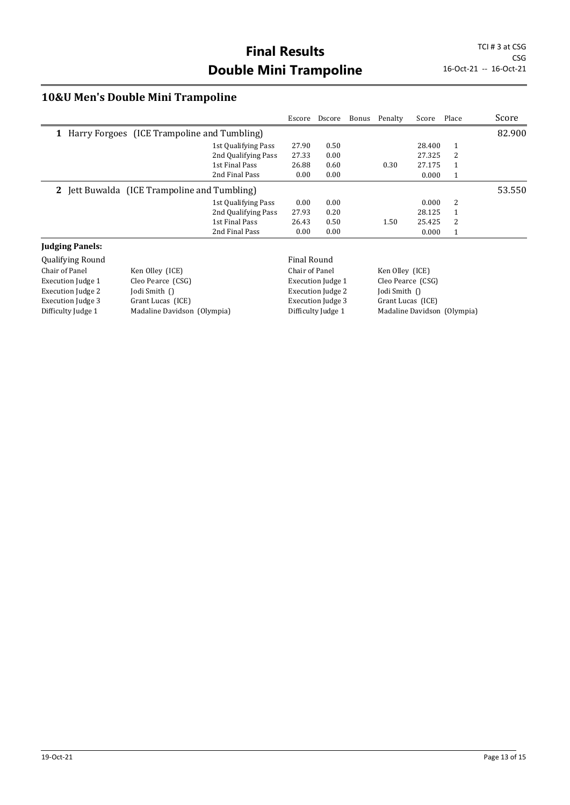## **10&U Men's Double Mini Trampoline**

|                                               |                                              |                     | Escore             | Dscore | Bonus | Penalty | Score  | Place  | Score  |
|-----------------------------------------------|----------------------------------------------|---------------------|--------------------|--------|-------|---------|--------|--------|--------|
| 1 Harry Forgoes (ICE Trampoline and Tumbling) |                                              |                     |                    |        |       |         |        | 82.900 |        |
|                                               |                                              | 1st Qualifying Pass | 27.90              | 0.50   |       |         | 28.400 | 1      |        |
|                                               |                                              | 2nd Qualifying Pass | 27.33              | 0.00   |       |         | 27.325 | 2      |        |
|                                               |                                              | 1st Final Pass      | 26.88              | 0.60   |       | 0.30    | 27.175 | 1      |        |
|                                               |                                              | 2nd Final Pass      | 0.00               | 0.00   |       |         | 0.000  | 1      |        |
|                                               | 2 Jett Buwalda (ICE Trampoline and Tumbling) |                     |                    |        |       |         |        |        | 53.550 |
|                                               |                                              | 1st Qualifying Pass | 0.00               | 0.00   |       |         | 0.000  | 2      |        |
|                                               |                                              | 2nd Qualifying Pass | 27.93              | 0.20   |       |         | 28.125 | 1      |        |
|                                               |                                              | 1st Final Pass      | 26.43              | 0.50   |       | 1.50    | 25.425 | 2      |        |
|                                               |                                              | 2nd Final Pass      | 0.00               | 0.00   |       |         | 0.000  | 1      |        |
| <b>Judging Panels:</b>                        |                                              |                     |                    |        |       |         |        |        |        |
| <b>Qualifying Round</b>                       |                                              |                     | <b>Final Round</b> |        |       |         |        |        |        |

| Ken Olley (ICE)             | Chair of Panel           | Ken Olley (ICE)             |
|-----------------------------|--------------------------|-----------------------------|
| Cleo Pearce (CSG)           | Execution Judge 1        | Cleo Pearce (CSG)           |
| Jodi Smith $\bigcap$        | Execution Judge 2        | Jodi Smith $\bigcap$        |
| Grant Lucas (ICE)           | <b>Execution Judge 3</b> | Grant Lucas (ICE)           |
| Madaline Davidson (Olympia) | Difficulty Judge 1       | Madaline Davidson (Olympia) |
|                             |                          | Filial Roullu               |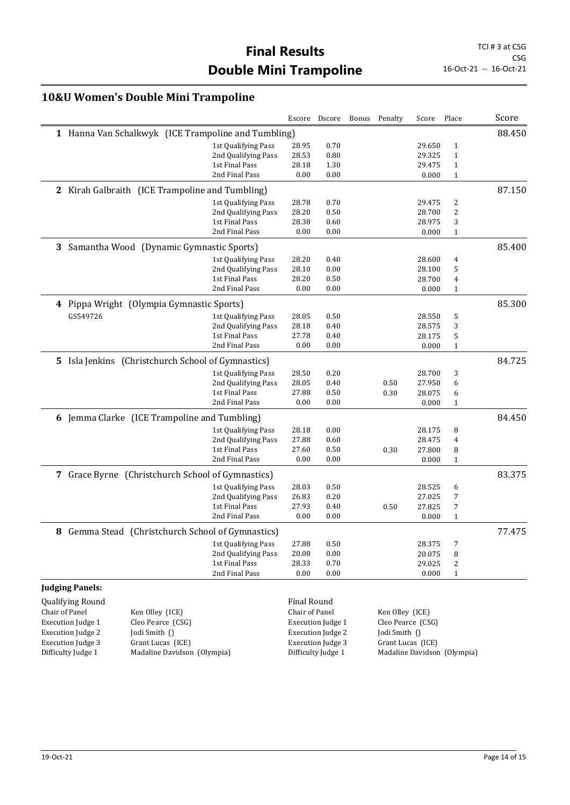CSG<br>16-Oct-21 -- 16-Oct-21

#### **10&U Women's Double Mini Trampoline**

|                          |                                                     |                     |                    | Escore Dscore            | Bonus | Penalty           | Score  | Place                       | Score  |
|--------------------------|-----------------------------------------------------|---------------------|--------------------|--------------------------|-------|-------------------|--------|-----------------------------|--------|
|                          | 1 Hanna Van Schalkwyk (ICE Trampoline and Tumbling) |                     |                    |                          |       |                   |        |                             | 88.450 |
|                          |                                                     | 1st Qualifying Pass | 28.95              | 0.70                     |       |                   | 29.650 | $\mathbf{1}$                |        |
|                          |                                                     | 2nd Qualifying Pass | 28.53              | 0.80                     |       |                   | 29.325 | $\mathbf{1}$                |        |
|                          |                                                     | 1st Final Pass      | 28.18              | 1.30                     |       |                   | 29.475 | $\mathbf{1}$                |        |
|                          |                                                     | 2nd Final Pass      | 0.00               | 0.00                     |       |                   | 0.000  | $\mathbf{1}$                |        |
|                          | 2 Kirah Galbraith (ICE Trampoline and Tumbling)     |                     |                    |                          |       |                   |        |                             | 87.150 |
|                          |                                                     | 1st Qualifying Pass | 28.78              | 0.70                     |       |                   | 29.475 | 2                           |        |
|                          |                                                     | 2nd Qualifying Pass | 28.20              | 0.50                     |       |                   | 28.700 | 2                           |        |
|                          |                                                     | 1st Final Pass      | 28.38              | 0.60                     |       |                   | 28.975 | 3                           |        |
|                          |                                                     | 2nd Final Pass      | 0.00               | 0.00                     |       |                   | 0.000  | 1                           |        |
|                          | 3 Samantha Wood (Dynamic Gymnastic Sports)          |                     |                    |                          |       |                   |        |                             | 85.400 |
|                          |                                                     | 1st Qualifying Pass | 28.20              | 0.40                     |       |                   | 28.600 | 4                           |        |
|                          |                                                     | 2nd Qualifying Pass | 28.10              | 0.00                     |       |                   | 28.100 | 5                           |        |
|                          |                                                     | 1st Final Pass      | 28.20              | 0.50                     |       |                   | 28.700 | 4                           |        |
|                          |                                                     | 2nd Final Pass      | 0.00               | 0.00                     |       |                   | 0.000  | 1                           |        |
|                          | 4 Pippa Wright (Olympia Gymnastic Sports)           |                     |                    |                          |       |                   |        |                             | 85.300 |
| GS549726                 |                                                     | 1st Qualifying Pass | 28.05              | 0.50                     |       |                   | 28.550 | 5                           |        |
|                          |                                                     | 2nd Qualifying Pass | 28.18              | 0.40                     |       |                   | 28.575 | 3                           |        |
|                          |                                                     | 1st Final Pass      | 27.78              | 0.40                     |       |                   | 28.175 | 5                           |        |
|                          |                                                     | 2nd Final Pass      | 0.00               | 0.00                     |       |                   | 0.000  | $\mathbf{1}$                |        |
| 5.                       | Isla Jenkins (Christchurch School of Gymnastics)    |                     |                    |                          |       |                   |        |                             | 84.725 |
|                          |                                                     | 1st Qualifying Pass | 28.50              | 0.20                     |       |                   | 28.700 | 3                           |        |
|                          |                                                     | 2nd Qualifying Pass | 28.05              | 0.40                     |       | 0.50              | 27.950 | 6                           |        |
|                          |                                                     | 1st Final Pass      | 27.88              | 0.50                     |       | 0.30              | 28.075 | 6                           |        |
|                          |                                                     | 2nd Final Pass      | 0.00               | 0.00                     |       |                   | 0.000  | $\mathbf{1}$                |        |
|                          | 6 Jemma Clarke (ICE Trampoline and Tumbling)        |                     |                    |                          |       |                   |        |                             | 84.450 |
|                          |                                                     | 1st Qualifying Pass | 28.18              | 0.00                     |       |                   | 28.175 | 8                           |        |
|                          |                                                     | 2nd Qualifying Pass | 27.88              | 0.60                     |       |                   | 28.475 | 4                           |        |
|                          |                                                     | 1st Final Pass      | 27.60              | 0.50                     |       | 0.30              | 27.800 | 8                           |        |
|                          |                                                     | 2nd Final Pass      | 0.00               | 0.00                     |       |                   | 0.000  | $\mathbf{1}$                |        |
|                          | 7 Grace Byrne (Christchurch School of Gymnastics)   |                     |                    |                          |       |                   |        |                             | 83.375 |
|                          |                                                     | 1st Qualifying Pass | 28.03              | 0.50                     |       |                   | 28.525 | 6                           |        |
|                          |                                                     | 2nd Qualifying Pass | 26.83              | 0.20                     |       |                   | 27.025 | 7                           |        |
|                          |                                                     | 1st Final Pass      | 27.93              | 0.40                     |       | 0.50              | 27.825 | 7                           |        |
|                          |                                                     | 2nd Final Pass      | 0.00               | 0.00                     |       |                   | 0.000  | $\mathbf{1}$                |        |
|                          | 8 Gemma Stead (Christchurch School of Gymnastics)   |                     |                    |                          |       |                   |        |                             | 77.475 |
|                          |                                                     | 1st Qualifying Pass | 27.88              | 0.50                     |       |                   | 28.375 | 7                           |        |
|                          |                                                     | 2nd Qualifying Pass | 20.08              | 0.00                     |       |                   | 20.075 | 8                           |        |
|                          |                                                     | 1st Final Pass      | 28.33              | 0.70                     |       |                   | 29.025 | 2                           |        |
|                          |                                                     | 2nd Final Pass      | 0.00               | 0.00                     |       |                   | 0.000  | $\mathbf{1}$                |        |
| <b>Judging Panels:</b>   |                                                     |                     |                    |                          |       |                   |        |                             |        |
| Qualifying Round         |                                                     |                     | <b>Final Round</b> |                          |       |                   |        |                             |        |
| Chair of Panel           | Ken Olley (ICE)                                     |                     | Chair of Panel     |                          |       | Ken Olley (ICE)   |        |                             |        |
| <b>Execution Judge 1</b> | Cleo Pearce (CSG)                                   |                     |                    | <b>Execution Judge 1</b> |       | Cleo Pearce (CSG) |        |                             |        |
| <b>Execution Judge 2</b> | Jodi Smith ()                                       |                     |                    | <b>Execution Judge 2</b> |       | Jodi Smith ()     |        |                             |        |
| <b>Execution Judge 3</b> | Grant Lucas (ICE)                                   |                     |                    | <b>Execution Judge 3</b> |       | Grant Lucas (ICE) |        |                             |        |
| Difficulty Judge 1       | Madaline Davidson (Olympia)                         |                     |                    | Difficulty Judge 1       |       |                   |        | Madaline Davidson (Olympia) |        |